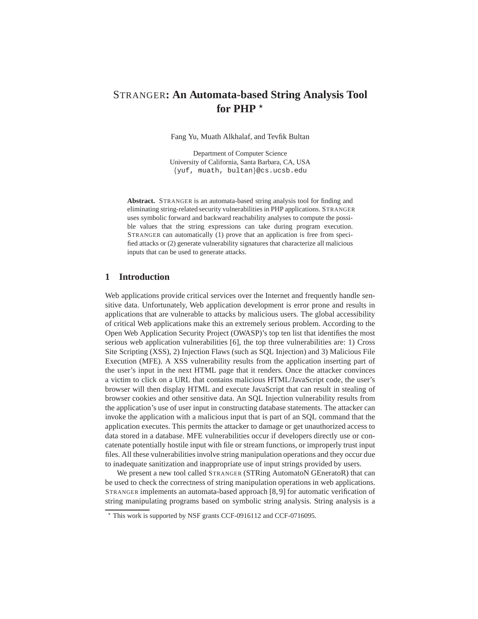# STRANGER**: An Automata-based String Analysis Tool** for PHP<sup>\*</sup>

Fang Yu, Muath Alkhalaf, and Tevfik Bultan

Department of Computer Science University of California, Santa Barbara, CA, USA {yuf, muath, bultan}@cs.ucsb.edu

**Abstract.** STRANGER is an automata-based string analysis tool for finding and eliminating string-related security vulnerabilities in PHP applications. STRANGER uses symbolic forward and backward reachability analyses to compute the possible values that the string expressions can take during program execution. STRANGER can automatically (1) prove that an application is free from specified attacks or (2) generate vulnerability signatures that characterize all malicious inputs that can be used to generate attacks.

## **1 Introduction**

Web applications provide critical services over the Internet and frequently handle sensitive data. Unfortunately, Web application development is error prone and results in applications that are vulnerable to attacks by malicious users. The global accessibility of critical Web applications make this an extremely serious problem. According to the Open Web Application Security Project (OWASP)'s top ten list that identifies the most serious web application vulnerabilities [6], the top three vulnerabilities are: 1) Cross Site Scripting (XSS), 2) Injection Flaws (such as SQL Injection) and 3) Malicious File Execution (MFE). A XSS vulnerability results from the application inserting part of the user's input in the next HTML page that it renders. Once the attacker convinces a victim to click on a URL that contains malicious HTML/JavaScript code, the user's browser will then display HTML and execute JavaScript that can result in stealing of browser cookies and other sensitive data. An SQL Injection vulnerability results from the application's use of user input in constructing database statements. The attacker can invoke the application with a malicious input that is part of an SQL command that the application executes. This permits the attacker to damage or get unauthorized access to data stored in a database. MFE vulnerabilities occur if developers directly use or concatenate potentially hostile input with file or stream functions, or improperly trust input files. All these vulnerabilities involve string manipulation operations and they occur due to inadequate sanitization and inappropriate use of input strings provided by users.

We present a new tool called STRANGER (STRing AutomatoN GEneratoR) that can be used to check the correctness of string manipulation operations in web applications. STRANGER implements an automata-based approach [8, 9] for automatic verification of string manipulating programs based on symbolic string analysis. String analysis is a

<sup>⋆</sup> This work is supported by NSF grants CCF-0916112 and CCF-0716095.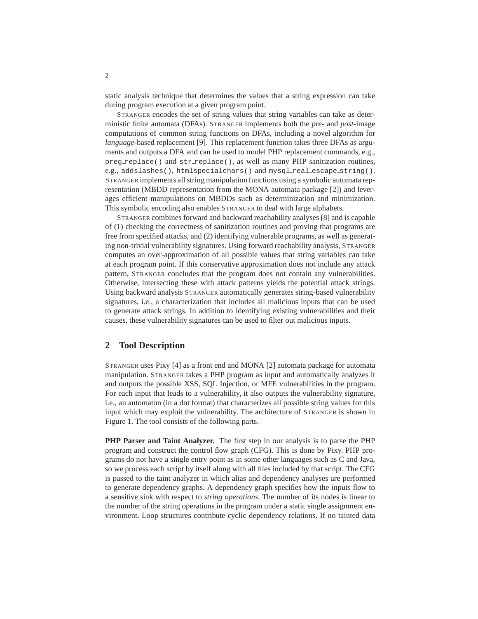static analysis technique that determines the values that a string expression can take during program execution at a given program point.

STRANGER encodes the set of string values that string variables can take as deterministic finite automata (DFAs). STRANGER implements both the *pre-* and *post-*image computations of common string functions on DFAs, including a novel algorithm for *language*-based replacement [9]. This replacement function takes three DFAs as arguments and outputs a DFA and can be used to model PHP replacement commands, e.g., preg\_replace() and str\_replace(), as well as many PHP sanitization routines, e.g., addslashes(), htmlspecialchars() and mysql real escape string(). STRANGER implements all string manipulation functions using a symbolic automata representation (MBDD representation from the MONA automata package [2]) and leverages efficient manipulations on MBDDs such as determinization and minimization. This symbolic encoding also enables STRANGER to deal with large alphabets.

STRANGER combines forward and backward reachability analyses [8] and is capable of (1) checking the correctness of sanitization routines and proving that programs are free from specified attacks, and (2) identifying vulnerable programs, as well as generating non-trivial vulnerability signatures. Using forward reachability analysis, STRANGER computes an over-approximation of all possible values that string variables can take at each program point. If this conservative approximation does not include any attack pattern, STRANGER concludes that the program does not contain any vulnerabilities. Otherwise, intersecting these with attack patterns yields the potential attack strings. Using backward analysis STRANGER automatically generates string-based vulnerability signatures, i.e., a characterization that includes all malicious inputs that can be used to generate attack strings. In addition to identifying existing vulnerabilities and their causes, these vulnerability signatures can be used to filter out malicious inputs.

### **2 Tool Description**

STRANGER uses Pixy [4] as a front end and MONA [2] automata package for automata manipulation. STRANGER takes a PHP program as input and automatically analyzes it and outputs the possible XSS, SQL Injection, or MFE vulnerabilities in the program. For each input that leads to a vulnerability, it also outputs the vulnerability signature, i.e., an automaton (in a dot format) that characterizes all possible string values for this input which may exploit the vulnerability. The architecture of STRANGER is shown in Figure 1. The tool consists of the following parts.

**PHP Parser and Taint Analyzer.** The first step in our analysis is to parse the PHP program and construct the control flow graph (CFG). This is done by Pixy. PHP programs do not have a single entry point as in some other languages such as C and Java, so we process each script by itself along with all files included by that script. The CFG is passed to the taint analyzer in which alias and dependency analyses are performed to generate dependency graphs. A dependency graph specifies how the inputs flow to a sensitive sink with respect to *string operations*. The number of its nodes is linear to the number of the string operations in the program under a static single assignment environment. Loop structures contribute cyclic dependency relations. If no tainted data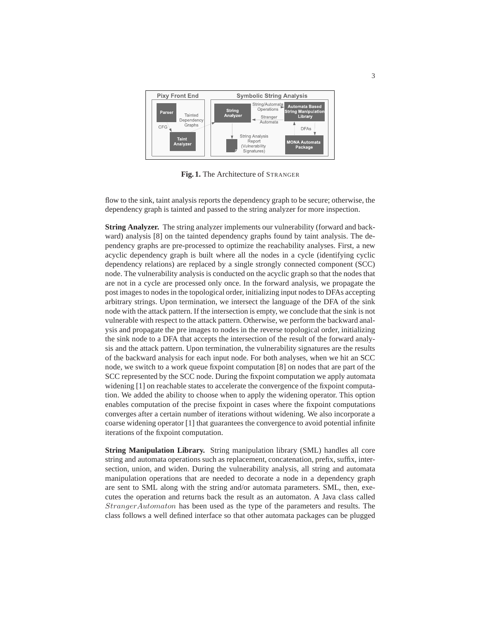

**Fig. 1.** The Architecture of STRANGER

flow to the sink, taint analysis reports the dependency graph to be secure; otherwise, the dependency graph is tainted and passed to the string analyzer for more inspection.

**String Analyzer.** The string analyzer implements our vulnerability (forward and backward) analysis [8] on the tainted dependency graphs found by taint analysis. The dependency graphs are pre-processed to optimize the reachability analyses. First, a new acyclic dependency graph is built where all the nodes in a cycle (identifying cyclic dependency relations) are replaced by a single strongly connected component (SCC) node. The vulnerability analysis is conducted on the acyclic graph so that the nodes that are not in a cycle are processed only once. In the forward analysis, we propagate the post images to nodes in the topological order, initializing input nodes to DFAs accepting arbitrary strings. Upon termination, we intersect the language of the DFA of the sink node with the attack pattern. If the intersection is empty, we conclude that the sink is not vulnerable with respect to the attack pattern. Otherwise, we perform the backward analysis and propagate the pre images to nodes in the reverse topological order, initializing the sink node to a DFA that accepts the intersection of the result of the forward analysis and the attack pattern. Upon termination, the vulnerability signatures are the results of the backward analysis for each input node. For both analyses, when we hit an SCC node, we switch to a work queue fixpoint computation [8] on nodes that are part of the SCC represented by the SCC node. During the fixpoint computation we apply automata widening [1] on reachable states to accelerate the convergence of the fixpoint computation. We added the ability to choose when to apply the widening operator. This option enables computation of the precise fixpoint in cases where the fixpoint computations converges after a certain number of iterations without widening. We also incorporate a coarse widening operator [1] that guarantees the convergence to avoid potential infinite iterations of the fixpoint computation.

**String Manipulation Library.** String manipulation library (SML) handles all core string and automata operations such as replacement, concatenation, prefix, suffix, intersection, union, and widen. During the vulnerability analysis, all string and automata manipulation operations that are needed to decorate a node in a dependency graph are sent to SML along with the string and/or automata parameters. SML, then, executes the operation and returns back the result as an automaton. A Java class called StrangerAutomaton has been used as the type of the parameters and results. The class follows a well defined interface so that other automata packages can be plugged